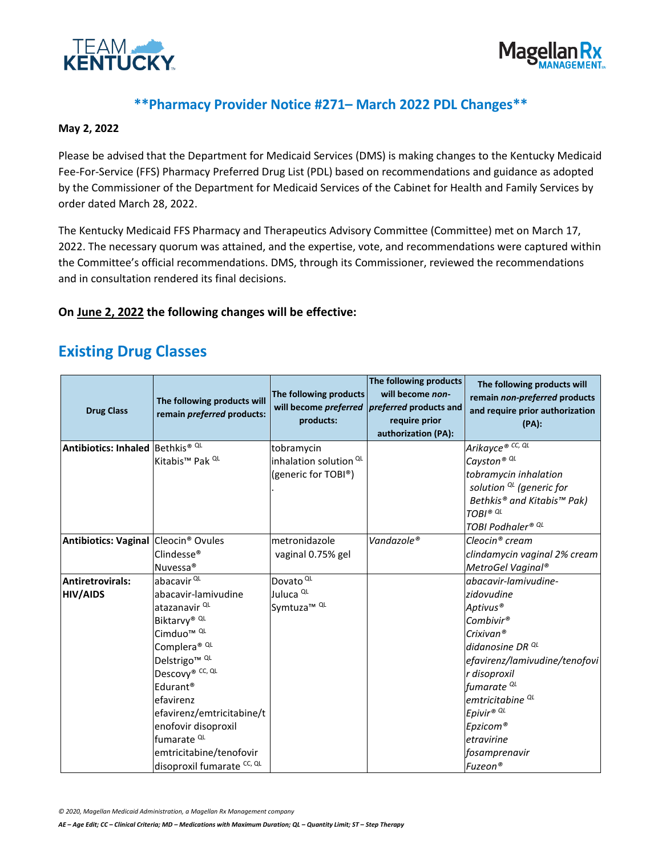



#### **\*\*Pharmacy Provider Notice #271– March 2022 PDL Changes\*\***

#### **May 2, 2022**

Please be advised that the Department for Medicaid Services (DMS) is making changes to the Kentucky Medicaid Fee-For-Service (FFS) Pharmacy Preferred Drug List (PDL) based on recommendations and guidance as adopted by the Commissioner of the Department for Medicaid Services of the Cabinet for Health and Family Services by order dated March 28, 2022.

The Kentucky Medicaid FFS Pharmacy and Therapeutics Advisory Committee (Committee) met on March 17, 2022. The necessary quorum was attained, and the expertise, vote, and recommendations were captured within the Committee's official recommendations. DMS, through its Commissioner, reviewed the recommendations and in consultation rendered its final decisions.

#### **On June 2, 2022 the following changes will be effective:**

### **Existing Drug Classes**

| <b>Drug Class</b>                                | The following products will<br>remain preferred products: | The following products<br>will become preferred<br>products: | The following products<br>will become non-<br><i>preferred</i> products and<br>require prior<br>authorization (PA): | The following products will<br>remain non-preferred products<br>and require prior authorization<br>$(PA)$ : |
|--------------------------------------------------|-----------------------------------------------------------|--------------------------------------------------------------|---------------------------------------------------------------------------------------------------------------------|-------------------------------------------------------------------------------------------------------------|
| Antibiotics: Inhaled Bethkis® QL                 |                                                           | tobramycin                                                   |                                                                                                                     | Arikayce® CC, QL                                                                                            |
|                                                  | Kitabis <sup>™</sup> Pak <sup>QL</sup>                    | inhalation solution <sup>QL</sup>                            |                                                                                                                     | Cayston <sup>® QL</sup>                                                                                     |
|                                                  |                                                           | (generic for TOBI®)                                          |                                                                                                                     | tobramycin inhalation                                                                                       |
|                                                  |                                                           |                                                              |                                                                                                                     | solution $^{QL}$ (generic for                                                                               |
|                                                  |                                                           |                                                              |                                                                                                                     | Bethkis® and Kitabis™ Pak)                                                                                  |
|                                                  |                                                           |                                                              |                                                                                                                     | TOBI <sup>® QL</sup>                                                                                        |
|                                                  |                                                           |                                                              |                                                                                                                     | TOBI Podhaler® <sup>QL</sup>                                                                                |
| Antibiotics: Vaginal Cleocin <sup>®</sup> Ovules |                                                           | metronidazole                                                | Vandazole®                                                                                                          | Cleocin® cream                                                                                              |
|                                                  | Clindesse <sup>®</sup>                                    | vaginal 0.75% gel                                            |                                                                                                                     | clindamycin vaginal 2% cream                                                                                |
|                                                  | Nuvessa <sup>®</sup>                                      |                                                              |                                                                                                                     | MetroGel Vaginal®                                                                                           |
| <b>Antiretrovirals:</b>                          | abacavir <sup>QL</sup>                                    | Dovato <sup>QL</sup>                                         |                                                                                                                     | abacavir-lamivudine-                                                                                        |
| <b>HIV/AIDS</b>                                  | abacavir-lamivudine                                       | Juluca <sup>QL</sup>                                         |                                                                                                                     | zidovudine                                                                                                  |
|                                                  | atazanavir QL                                             | Symtuza <sup>™ QL</sup>                                      |                                                                                                                     | Aptivus <sup>®</sup>                                                                                        |
|                                                  | Biktarvy® QL                                              |                                                              |                                                                                                                     | Combivir®                                                                                                   |
|                                                  | Cimduo <sup>™ QL</sup>                                    |                                                              |                                                                                                                     | Crixivan <sup>®</sup>                                                                                       |
|                                                  | Complera® QL                                              |                                                              |                                                                                                                     | didanosine DR <sup>QL</sup>                                                                                 |
|                                                  | Delstrigo <sup>™ QL</sup>                                 |                                                              |                                                                                                                     | efavirenz/lamivudine/tenofovi                                                                               |
|                                                  | Descovy® CC, QL                                           |                                                              |                                                                                                                     | r disoproxil                                                                                                |
|                                                  | Edurant <sup>®</sup>                                      |                                                              |                                                                                                                     | fumarate <sup>QL</sup>                                                                                      |
|                                                  | efavirenz                                                 |                                                              |                                                                                                                     | emtricitabine <sup>QL</sup>                                                                                 |
|                                                  | efavirenz/emtricitabine/t                                 |                                                              |                                                                                                                     | Epivir® QL                                                                                                  |
|                                                  | enofovir disoproxil                                       |                                                              |                                                                                                                     | Epzicom®                                                                                                    |
|                                                  | fumarate <sup>QL</sup>                                    |                                                              |                                                                                                                     | etravirine                                                                                                  |
|                                                  | emtricitabine/tenofovir                                   |                                                              |                                                                                                                     | fosamprenavir                                                                                               |
|                                                  | disoproxil fumarate CC, QL                                |                                                              |                                                                                                                     | Fuzeon®                                                                                                     |

*© 2020, Magellan Medicaid Administration, a Magellan Rx Management company*

*AE – Age Edit; CC – Clinical Criteria; MD – Medications with Maximum Duration; QL – Quantity Limit; ST – Step Therapy*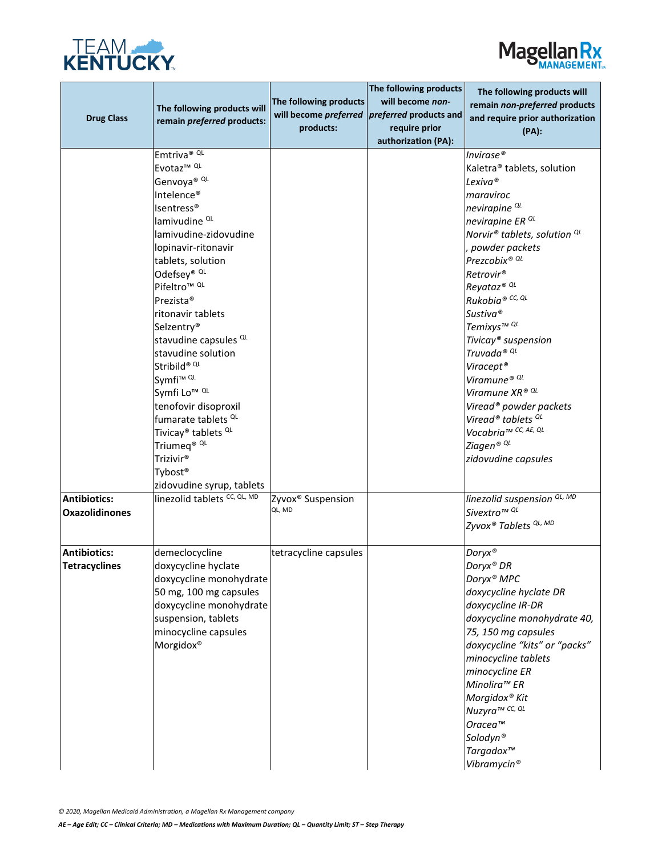



| <b>Drug Class</b>                            | The following products will<br>remain preferred products:                                                                                                                                                                                                                                                                                                                                                                                                                                                                                                                                                                                                  | The following products<br>products:     | The following products<br>will become non-<br>will become preferred preferred products and<br>require prior<br>authorization (PA): | The following products will<br>remain non-preferred products<br>and require prior authorization<br>(PA):                                                                                                                                                                                                                                                                                                                                                                                                                                                                             |
|----------------------------------------------|------------------------------------------------------------------------------------------------------------------------------------------------------------------------------------------------------------------------------------------------------------------------------------------------------------------------------------------------------------------------------------------------------------------------------------------------------------------------------------------------------------------------------------------------------------------------------------------------------------------------------------------------------------|-----------------------------------------|------------------------------------------------------------------------------------------------------------------------------------|--------------------------------------------------------------------------------------------------------------------------------------------------------------------------------------------------------------------------------------------------------------------------------------------------------------------------------------------------------------------------------------------------------------------------------------------------------------------------------------------------------------------------------------------------------------------------------------|
|                                              | Emtriva® QL<br>Evotaz <sup>™ QL</sup><br>Genvoya® QL<br>Intelence®<br><b>Isentress®</b><br>lamivudine <sup>QL</sup><br>lamivudine-zidovudine<br>lopinavir-ritonavir<br>tablets, solution<br>Odefsey® QL<br>Pifeltro <sup>™ QL</sup><br>Prezista <sup>®</sup><br>ritonavir tablets<br>Selzentry <sup>®</sup><br>stavudine capsules <sup>QL</sup><br>stavudine solution<br>Stribild® QL<br>Symfi <sup>™ QL</sup><br>Symfi Lo <sup>™ QL</sup><br>tenofovir disoproxil<br>fumarate tablets <sup>QL</sup><br>Tivicay <sup>®</sup> tablets <sup>QL</sup><br>Triumeq <sup>® QL</sup><br>Trizivir <sup>®</sup><br>Tybost <sup>®</sup><br>zidovudine syrup, tablets |                                         |                                                                                                                                    | Invirase®<br>Kaletra <sup>®</sup> tablets, solution<br>Lexiva®<br>maraviroc<br>nevirapine <sup>QL</sup><br>nevirapine ER <sup>QL</sup><br>Norvir® tablets, solution <sup>QL</sup><br>powder packets<br>Prezcobix® QL<br>Retrovir <sup>®</sup><br>Reyataz <sup>® QL</sup><br>Rukobia® CC, QL<br>Sustiva®<br>Temixys™ QL<br>Tivicay <sup>®</sup> suspension<br>Truvada® QL<br>Viracept <sup>®</sup><br>Viramune® QL<br>Viramune XR® QL<br>Viread <sup>®</sup> powder packets<br>Viread <sup>®</sup> tablets <sup>QL</sup><br>Vocabria™ CC, AE, QL<br>Ziagen® QL<br>zidovudine capsules |
| <b>Antibiotics:</b><br><b>Oxazolidinones</b> | linezolid tablets CC, QL, MD                                                                                                                                                                                                                                                                                                                                                                                                                                                                                                                                                                                                                               | Zyvox <sup>®</sup> Suspension<br>QL, MD |                                                                                                                                    | linezolid suspension <sup>QL, MD</sup><br>Sivextro™ <sup>QL</sup><br>Zyvox® Tablets <sup>QL, MD</sup>                                                                                                                                                                                                                                                                                                                                                                                                                                                                                |
| <b>Antibiotics:</b><br><b>Tetracyclines</b>  | demeclocycline<br>doxycycline hyclate<br>doxycycline monohydrate<br>50 mg, 100 mg capsules<br>doxycycline monohydrate<br>suspension, tablets<br>minocycline capsules<br>Morgidox®                                                                                                                                                                                                                                                                                                                                                                                                                                                                          | tetracycline capsules                   |                                                                                                                                    | Doryx®<br>Doryx <sup>®</sup> DR<br>Doryx <sup>®</sup> MPC<br>doxycycline hyclate DR<br>doxycycline IR-DR<br>doxycycline monohydrate 40,<br>75, 150 mg capsules<br>doxycycline "kits" or "packs"<br>minocycline tablets<br>minocycline ER<br>Minolira™ ER<br>Morgidox® Kit<br>Nuzyra™ CC, QL<br>Oracea™<br>Solodyn®<br>Targadox <sup>™</sup><br>Vibramycin <sup>®</sup>                                                                                                                                                                                                               |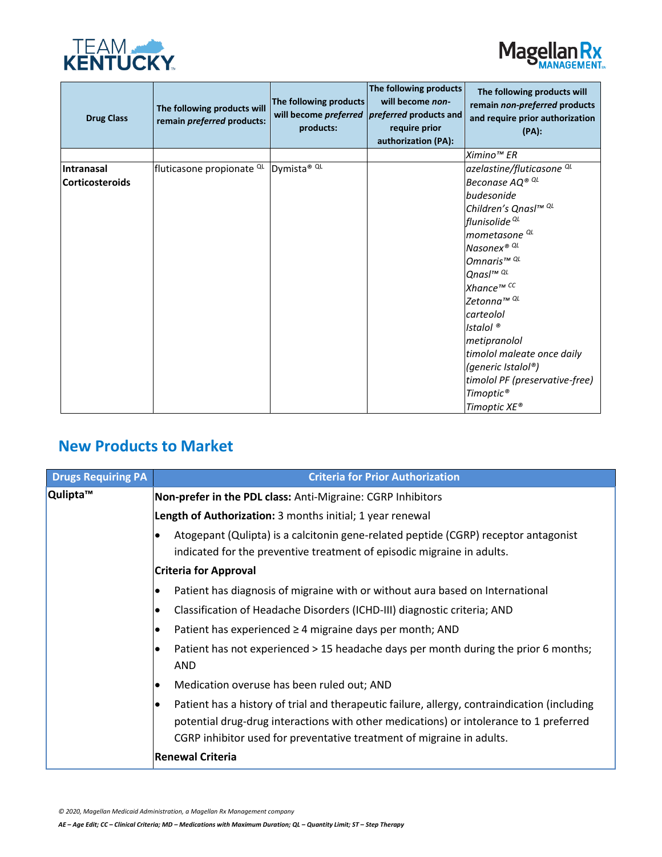



| <b>Drug Class</b>                    | The following products will<br>remain preferred products: | The following products<br>products: | The following products<br>will become non-<br>will become <i>preferred</i>   preferred products and<br>require prior<br>authorization (PA): | The following products will<br>remain non-preferred products<br>and require prior authorization<br>$(PA)$ :                                                                                                                                                                                                                                                                                                    |
|--------------------------------------|-----------------------------------------------------------|-------------------------------------|---------------------------------------------------------------------------------------------------------------------------------------------|----------------------------------------------------------------------------------------------------------------------------------------------------------------------------------------------------------------------------------------------------------------------------------------------------------------------------------------------------------------------------------------------------------------|
|                                      |                                                           |                                     |                                                                                                                                             | Ximino <sup>™</sup> ER                                                                                                                                                                                                                                                                                                                                                                                         |
| Intranasal<br><b>Corticosteroids</b> | fluticasone propionate <sup>QL</sup>                      | Dymista <sup>® QL</sup>             |                                                                                                                                             | azelastine/fluticasone <sup>QL</sup><br>Beconase AQ® QL<br>budesonide<br>Children's Qnasl™ QL<br>flunisolide <sup>QL</sup><br>mometasone <sup>QL</sup><br>Nasonex® QL<br>Omnaris <sup>™ QL</sup><br>Qnasl™ QL<br>Xhance™ CC<br>Zetonna™ QL<br>carteolol<br>Istalol <sup>®</sup><br>metipranolol<br>timolol maleate once daily<br>(generic Istalol®)<br>timolol PF (preservative-free)<br>Timoptic <sup>®</sup> |
|                                      |                                                           |                                     |                                                                                                                                             | Timoptic XE®                                                                                                                                                                                                                                                                                                                                                                                                   |

# **New Products to Market**

| <b>Drugs Requiring PA</b> | <b>Criteria for Prior Authorization</b>                                                                                                                                                                                                                         |
|---------------------------|-----------------------------------------------------------------------------------------------------------------------------------------------------------------------------------------------------------------------------------------------------------------|
| Qulipta™                  | Non-prefer in the PDL class: Anti-Migraine: CGRP Inhibitors                                                                                                                                                                                                     |
|                           | Length of Authorization: 3 months initial; 1 year renewal                                                                                                                                                                                                       |
|                           | Atogepant (Qulipta) is a calcitonin gene-related peptide (CGRP) receptor antagonist<br>indicated for the preventive treatment of episodic migraine in adults.                                                                                                   |
|                           | <b>Criteria for Approval</b>                                                                                                                                                                                                                                    |
|                           | Patient has diagnosis of migraine with or without aura based on International                                                                                                                                                                                   |
|                           | Classification of Headache Disorders (ICHD-III) diagnostic criteria; AND                                                                                                                                                                                        |
|                           | Patient has experienced $\geq$ 4 migraine days per month; AND                                                                                                                                                                                                   |
|                           | Patient has not experienced > 15 headache days per month during the prior 6 months;<br><b>AND</b>                                                                                                                                                               |
|                           | Medication overuse has been ruled out; AND                                                                                                                                                                                                                      |
|                           | Patient has a history of trial and therapeutic failure, allergy, contraindication (including<br>potential drug-drug interactions with other medications) or intolerance to 1 preferred<br>CGRP inhibitor used for preventative treatment of migraine in adults. |
|                           | <b>Renewal Criteria</b>                                                                                                                                                                                                                                         |

*© 2020, Magellan Medicaid Administration, a Magellan Rx Management company*

*AE – Age Edit; CC – Clinical Criteria; MD – Medications with Maximum Duration; QL – Quantity Limit; ST – Step Therapy*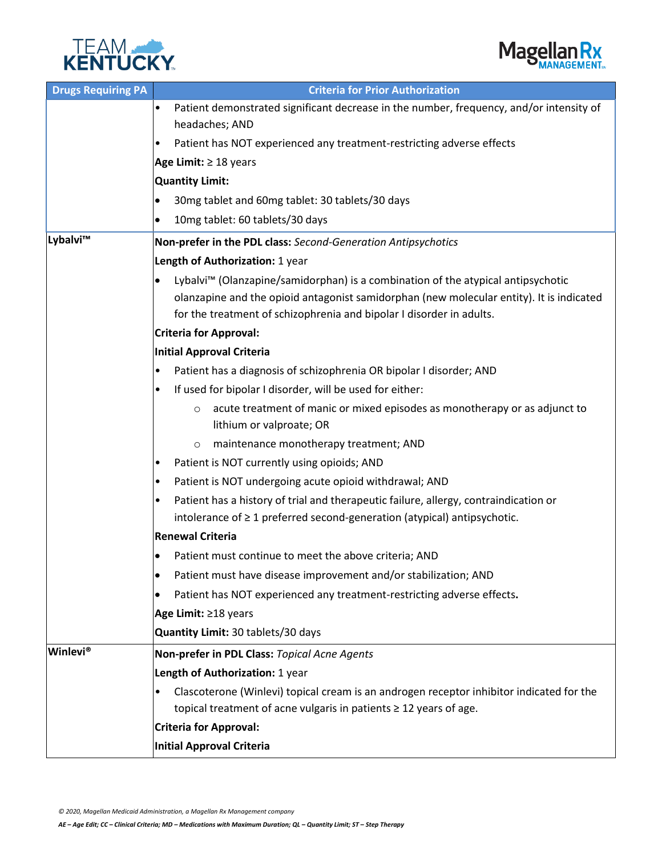



| <b>Drugs Requiring PA</b> | <b>Criteria for Prior Authorization</b>                                                                                                                                                                                                                          |  |  |
|---------------------------|------------------------------------------------------------------------------------------------------------------------------------------------------------------------------------------------------------------------------------------------------------------|--|--|
|                           | Patient demonstrated significant decrease in the number, frequency, and/or intensity of<br>$\bullet$<br>headaches; AND                                                                                                                                           |  |  |
|                           | Patient has NOT experienced any treatment-restricting adverse effects<br>٠                                                                                                                                                                                       |  |  |
|                           | Age Limit: $\geq 18$ years                                                                                                                                                                                                                                       |  |  |
|                           | <b>Quantity Limit:</b>                                                                                                                                                                                                                                           |  |  |
|                           | 30mg tablet and 60mg tablet: 30 tablets/30 days                                                                                                                                                                                                                  |  |  |
|                           | 10mg tablet: 60 tablets/30 days                                                                                                                                                                                                                                  |  |  |
| Lybalvi™                  | Non-prefer in the PDL class: Second-Generation Antipsychotics                                                                                                                                                                                                    |  |  |
|                           | Length of Authorization: 1 year                                                                                                                                                                                                                                  |  |  |
|                           | Lybalvi <sup>™</sup> (Olanzapine/samidorphan) is a combination of the atypical antipsychotic<br>olanzapine and the opioid antagonist samidorphan (new molecular entity). It is indicated<br>for the treatment of schizophrenia and bipolar I disorder in adults. |  |  |
|                           | <b>Criteria for Approval:</b>                                                                                                                                                                                                                                    |  |  |
|                           | <b>Initial Approval Criteria</b>                                                                                                                                                                                                                                 |  |  |
|                           | Patient has a diagnosis of schizophrenia OR bipolar I disorder; AND<br>$\bullet$                                                                                                                                                                                 |  |  |
|                           | If used for bipolar I disorder, will be used for either:                                                                                                                                                                                                         |  |  |
|                           | acute treatment of manic or mixed episodes as monotherapy or as adjunct to<br>$\circ$<br>lithium or valproate; OR                                                                                                                                                |  |  |
|                           | maintenance monotherapy treatment; AND<br>$\circ$                                                                                                                                                                                                                |  |  |
|                           | Patient is NOT currently using opioids; AND                                                                                                                                                                                                                      |  |  |
|                           | Patient is NOT undergoing acute opioid withdrawal; AND<br>٠                                                                                                                                                                                                      |  |  |
|                           | Patient has a history of trial and therapeutic failure, allergy, contraindication or<br>٠                                                                                                                                                                        |  |  |
|                           | intolerance of $\geq 1$ preferred second-generation (atypical) antipsychotic.                                                                                                                                                                                    |  |  |
|                           | <b>Renewal Criteria</b>                                                                                                                                                                                                                                          |  |  |
|                           | Patient must continue to meet the above criteria; AND<br>$\bullet$                                                                                                                                                                                               |  |  |
|                           | Patient must have disease improvement and/or stabilization; AND<br>$\bullet$                                                                                                                                                                                     |  |  |
|                           | Patient has NOT experienced any treatment-restricting adverse effects.<br>$\bullet$                                                                                                                                                                              |  |  |
|                           | Age Limit: ≥18 years                                                                                                                                                                                                                                             |  |  |
|                           | Quantity Limit: 30 tablets/30 days                                                                                                                                                                                                                               |  |  |
| <b>Winlevi®</b>           | Non-prefer in PDL Class: Topical Acne Agents                                                                                                                                                                                                                     |  |  |
|                           | Length of Authorization: 1 year                                                                                                                                                                                                                                  |  |  |
|                           | Clascoterone (Winlevi) topical cream is an androgen receptor inhibitor indicated for the<br>$\bullet$                                                                                                                                                            |  |  |
|                           | topical treatment of acne vulgaris in patients ≥ 12 years of age.                                                                                                                                                                                                |  |  |
|                           | <b>Criteria for Approval:</b>                                                                                                                                                                                                                                    |  |  |
|                           | <b>Initial Approval Criteria</b>                                                                                                                                                                                                                                 |  |  |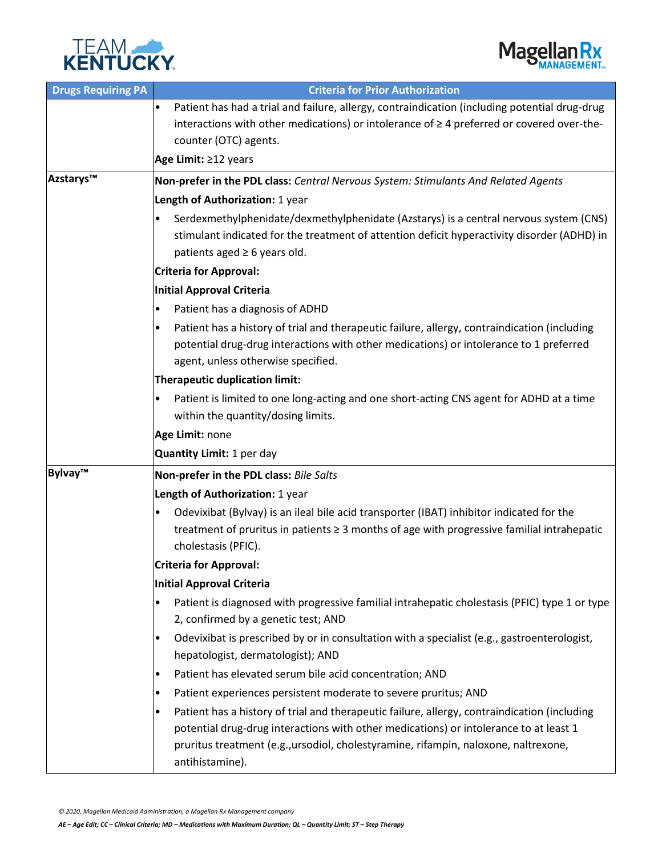



| <b>Drugs Requiring PA</b> | <b>Criteria for Prior Authorization</b>                                                                    |  |  |
|---------------------------|------------------------------------------------------------------------------------------------------------|--|--|
|                           | Patient has had a trial and failure, allergy, contraindication (including potential drug-drug<br>٠         |  |  |
|                           | interactions with other medications) or intolerance of $\geq 4$ preferred or covered over-the-             |  |  |
|                           | counter (OTC) agents.                                                                                      |  |  |
|                           | Age Limit: ≥12 years                                                                                       |  |  |
| Azstarys™                 | Non-prefer in the PDL class: Central Nervous System: Stimulants And Related Agents                         |  |  |
|                           | Length of Authorization: 1 year                                                                            |  |  |
|                           | Serdexmethylphenidate/dexmethylphenidate (Azstarys) is a central nervous system (CNS)<br>$\bullet$         |  |  |
|                           | stimulant indicated for the treatment of attention deficit hyperactivity disorder (ADHD) in                |  |  |
|                           | patients aged $\geq 6$ years old.                                                                          |  |  |
|                           | <b>Criteria for Approval:</b>                                                                              |  |  |
|                           | <b>Initial Approval Criteria</b>                                                                           |  |  |
|                           | Patient has a diagnosis of ADHD<br>$\bullet$                                                               |  |  |
|                           | Patient has a history of trial and therapeutic failure, allergy, contraindication (including<br>$\bullet$  |  |  |
|                           | potential drug-drug interactions with other medications) or intolerance to 1 preferred                     |  |  |
|                           | agent, unless otherwise specified.                                                                         |  |  |
|                           | <b>Therapeutic duplication limit:</b>                                                                      |  |  |
|                           | Patient is limited to one long-acting and one short-acting CNS agent for ADHD at a time<br>$\bullet$       |  |  |
|                           | within the quantity/dosing limits.                                                                         |  |  |
|                           | Age Limit: none                                                                                            |  |  |
|                           | Quantity Limit: 1 per day                                                                                  |  |  |
| Bylvay™                   | Non-prefer in the PDL class: Bile Salts                                                                    |  |  |
|                           | Length of Authorization: 1 year                                                                            |  |  |
|                           | Odevixibat (Bylvay) is an ileal bile acid transporter (IBAT) inhibitor indicated for the<br>$\bullet$      |  |  |
|                           | treatment of pruritus in patients ≥ 3 months of age with progressive familial intrahepatic                 |  |  |
|                           | cholestasis (PFIC).                                                                                        |  |  |
|                           | <b>Criteria for Approval:</b>                                                                              |  |  |
|                           | <b>Initial Approval Criteria</b>                                                                           |  |  |
|                           | Patient is diagnosed with progressive familial intrahepatic cholestasis (PFIC) type 1 or type<br>$\bullet$ |  |  |
|                           | 2, confirmed by a genetic test; AND                                                                        |  |  |
|                           | Odevixibat is prescribed by or in consultation with a specialist (e.g., gastroenterologist,<br>$\bullet$   |  |  |
|                           | hepatologist, dermatologist); AND                                                                          |  |  |
|                           | Patient has elevated serum bile acid concentration; AND<br>$\bullet$                                       |  |  |
|                           | Patient experiences persistent moderate to severe pruritus; AND<br>$\bullet$                               |  |  |
|                           | Patient has a history of trial and therapeutic failure, allergy, contraindication (including<br>$\bullet$  |  |  |
|                           | potential drug-drug interactions with other medications) or intolerance to at least 1                      |  |  |
|                           | pruritus treatment (e.g., ursodiol, cholestyramine, rifampin, naloxone, naltrexone,                        |  |  |
|                           | antihistamine).                                                                                            |  |  |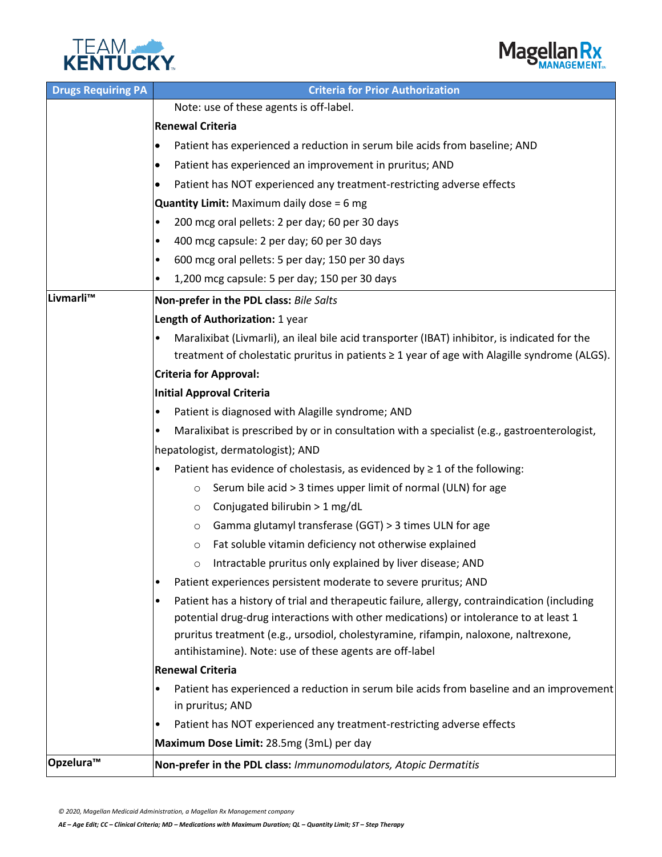



| <b>Drugs Requiring PA</b> | <b>Criteria for Prior Authorization</b>                                                                                                        |  |  |
|---------------------------|------------------------------------------------------------------------------------------------------------------------------------------------|--|--|
|                           | Note: use of these agents is off-label.                                                                                                        |  |  |
|                           | <b>Renewal Criteria</b>                                                                                                                        |  |  |
|                           | Patient has experienced a reduction in serum bile acids from baseline; AND<br>$\bullet$                                                        |  |  |
|                           | Patient has experienced an improvement in pruritus; AND<br>٠                                                                                   |  |  |
|                           | Patient has NOT experienced any treatment-restricting adverse effects                                                                          |  |  |
|                           | <b>Quantity Limit:</b> Maximum daily dose = 6 mg                                                                                               |  |  |
|                           | 200 mcg oral pellets: 2 per day; 60 per 30 days<br>$\bullet$                                                                                   |  |  |
|                           | 400 mcg capsule: 2 per day; 60 per 30 days<br>٠                                                                                                |  |  |
|                           | 600 mcg oral pellets: 5 per day; 150 per 30 days<br>٠                                                                                          |  |  |
|                           | 1,200 mcg capsule: 5 per day; 150 per 30 days                                                                                                  |  |  |
| Livmarli <sup>™</sup>     | Non-prefer in the PDL class: Bile Salts                                                                                                        |  |  |
|                           | Length of Authorization: 1 year                                                                                                                |  |  |
|                           | Maralixibat (Livmarli), an ileal bile acid transporter (IBAT) inhibitor, is indicated for the                                                  |  |  |
|                           | treatment of cholestatic pruritus in patients ≥ 1 year of age with Alagille syndrome (ALGS).                                                   |  |  |
|                           | <b>Criteria for Approval:</b>                                                                                                                  |  |  |
|                           | <b>Initial Approval Criteria</b>                                                                                                               |  |  |
|                           | Patient is diagnosed with Alagille syndrome; AND                                                                                               |  |  |
|                           | Maralixibat is prescribed by or in consultation with a specialist (e.g., gastroenterologist,<br>٠                                              |  |  |
|                           | hepatologist, dermatologist); AND                                                                                                              |  |  |
|                           | Patient has evidence of cholestasis, as evidenced by $\geq 1$ of the following:<br>٠                                                           |  |  |
|                           | Serum bile acid > 3 times upper limit of normal (ULN) for age<br>$\circ$                                                                       |  |  |
|                           | Conjugated bilirubin > 1 mg/dL<br>$\circ$                                                                                                      |  |  |
|                           | Gamma glutamyl transferase (GGT) > 3 times ULN for age<br>$\circ$                                                                              |  |  |
|                           | Fat soluble vitamin deficiency not otherwise explained<br>$\circ$                                                                              |  |  |
|                           | Intractable pruritus only explained by liver disease; AND                                                                                      |  |  |
|                           | Patient experiences persistent moderate to severe pruritus; AND<br>٠                                                                           |  |  |
|                           | Patient has a history of trial and therapeutic failure, allergy, contraindication (including<br>٠                                              |  |  |
|                           | potential drug-drug interactions with other medications) or intolerance to at least 1                                                          |  |  |
|                           | pruritus treatment (e.g., ursodiol, cholestyramine, rifampin, naloxone, naltrexone,<br>antihistamine). Note: use of these agents are off-label |  |  |
|                           | <b>Renewal Criteria</b>                                                                                                                        |  |  |
|                           | Patient has experienced a reduction in serum bile acids from baseline and an improvement<br>$\bullet$                                          |  |  |
|                           | in pruritus; AND                                                                                                                               |  |  |
|                           | Patient has NOT experienced any treatment-restricting adverse effects<br>٠                                                                     |  |  |
|                           | Maximum Dose Limit: 28.5mg (3mL) per day                                                                                                       |  |  |
| Opzelura™                 | Non-prefer in the PDL class: Immunomodulators, Atopic Dermatitis                                                                               |  |  |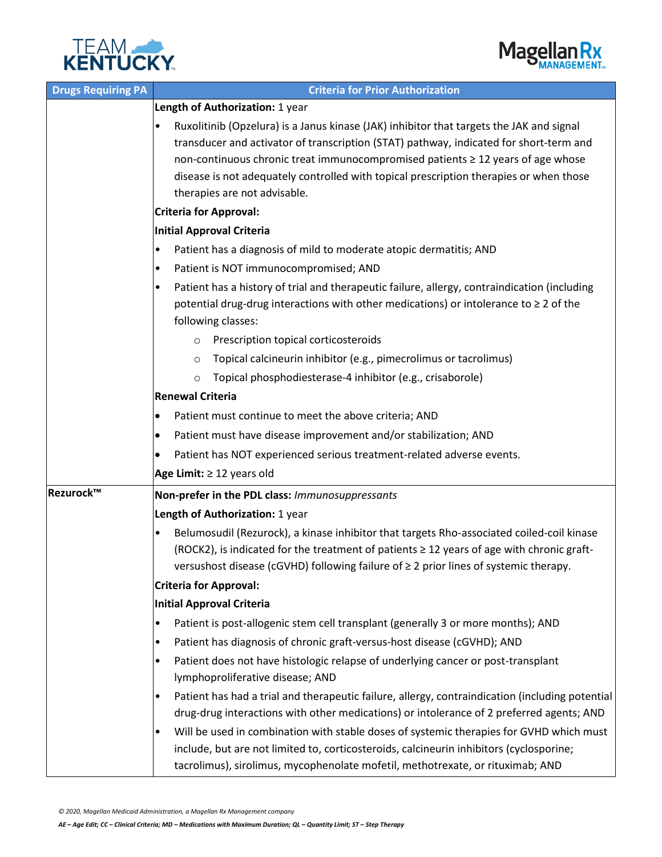



| <b>Drugs Requiring PA</b> | <b>Criteria for Prior Authorization</b>                                                                                                                                                                                                                                                                                                                                                         |  |  |
|---------------------------|-------------------------------------------------------------------------------------------------------------------------------------------------------------------------------------------------------------------------------------------------------------------------------------------------------------------------------------------------------------------------------------------------|--|--|
|                           | Length of Authorization: 1 year                                                                                                                                                                                                                                                                                                                                                                 |  |  |
|                           | Ruxolitinib (Opzelura) is a Janus kinase (JAK) inhibitor that targets the JAK and signal<br>transducer and activator of transcription (STAT) pathway, indicated for short-term and<br>non-continuous chronic treat immunocompromised patients ≥ 12 years of age whose<br>disease is not adequately controlled with topical prescription therapies or when those<br>therapies are not advisable. |  |  |
|                           | <b>Criteria for Approval:</b>                                                                                                                                                                                                                                                                                                                                                                   |  |  |
|                           | Initial Approval Criteria                                                                                                                                                                                                                                                                                                                                                                       |  |  |
|                           | Patient has a diagnosis of mild to moderate atopic dermatitis; AND<br>٠                                                                                                                                                                                                                                                                                                                         |  |  |
|                           | Patient is NOT immunocompromised; AND<br>٠                                                                                                                                                                                                                                                                                                                                                      |  |  |
|                           | Patient has a history of trial and therapeutic failure, allergy, contraindication (including<br>potential drug-drug interactions with other medications) or intolerance to $\geq 2$ of the<br>following classes:                                                                                                                                                                                |  |  |
|                           | Prescription topical corticosteroids<br>$\circ$                                                                                                                                                                                                                                                                                                                                                 |  |  |
|                           | Topical calcineurin inhibitor (e.g., pimecrolimus or tacrolimus)<br>$\circ$                                                                                                                                                                                                                                                                                                                     |  |  |
|                           | Topical phosphodiesterase-4 inhibitor (e.g., crisaborole)<br>$\circ$                                                                                                                                                                                                                                                                                                                            |  |  |
|                           | <b>Renewal Criteria</b>                                                                                                                                                                                                                                                                                                                                                                         |  |  |
|                           | Patient must continue to meet the above criteria; AND<br>٠                                                                                                                                                                                                                                                                                                                                      |  |  |
|                           | Patient must have disease improvement and/or stabilization; AND                                                                                                                                                                                                                                                                                                                                 |  |  |
|                           | Patient has NOT experienced serious treatment-related adverse events.<br>٠                                                                                                                                                                                                                                                                                                                      |  |  |
|                           | Age Limit: $\geq$ 12 years old                                                                                                                                                                                                                                                                                                                                                                  |  |  |
| Rezurock™                 | Non-prefer in the PDL class: Immunosuppressants                                                                                                                                                                                                                                                                                                                                                 |  |  |
|                           | Length of Authorization: 1 year                                                                                                                                                                                                                                                                                                                                                                 |  |  |
|                           | Belumosudil (Rezurock), a kinase inhibitor that targets Rho-associated coiled-coil kinase<br>٠<br>(ROCK2), is indicated for the treatment of patients $\geq$ 12 years of age with chronic graft-<br>versushost disease (cGVHD) following failure of ≥ 2 prior lines of systemic therapy.                                                                                                        |  |  |
|                           | <b>Criteria for Approval:</b><br>Initial Approval Criteria                                                                                                                                                                                                                                                                                                                                      |  |  |
|                           |                                                                                                                                                                                                                                                                                                                                                                                                 |  |  |
|                           | Patient is post-allogenic stem cell transplant (generally 3 or more months); AND<br>$\bullet$                                                                                                                                                                                                                                                                                                   |  |  |
|                           | Patient has diagnosis of chronic graft-versus-host disease (cGVHD); AND<br>$\bullet$                                                                                                                                                                                                                                                                                                            |  |  |
|                           | Patient does not have histologic relapse of underlying cancer or post-transplant<br>$\bullet$<br>lymphoproliferative disease; AND                                                                                                                                                                                                                                                               |  |  |
|                           | Patient has had a trial and therapeutic failure, allergy, contraindication (including potential                                                                                                                                                                                                                                                                                                 |  |  |
|                           | drug-drug interactions with other medications) or intolerance of 2 preferred agents; AND                                                                                                                                                                                                                                                                                                        |  |  |
|                           | Will be used in combination with stable doses of systemic therapies for GVHD which must<br>$\bullet$<br>include, but are not limited to, corticosteroids, calcineurin inhibitors (cyclosporine;<br>tacrolimus), sirolimus, mycophenolate mofetil, methotrexate, or rituximab; AND                                                                                                               |  |  |

*AE – Age Edit; CC – Clinical Criteria; MD – Medications with Maximum Duration; QL – Quantity Limit; ST – Step Therapy*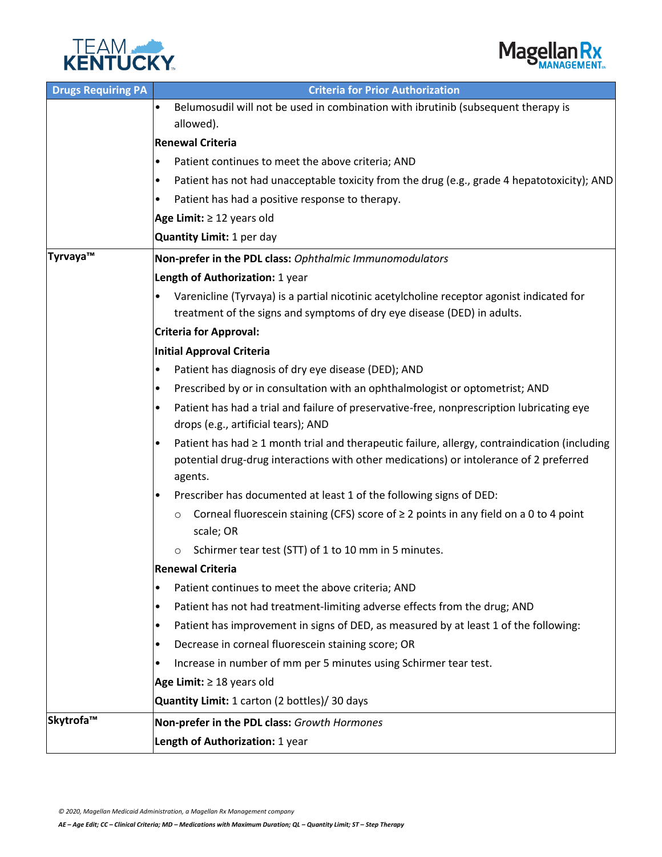



| <b>Drugs Requiring PA</b> | <b>Criteria for Prior Authorization</b>                                                                                                                                                                 |  |  |
|---------------------------|---------------------------------------------------------------------------------------------------------------------------------------------------------------------------------------------------------|--|--|
|                           | Belumosudil will not be used in combination with ibrutinib (subsequent therapy is<br>$\bullet$<br>allowed).                                                                                             |  |  |
|                           | <b>Renewal Criteria</b>                                                                                                                                                                                 |  |  |
|                           | Patient continues to meet the above criteria; AND<br>$\bullet$                                                                                                                                          |  |  |
|                           | Patient has not had unacceptable toxicity from the drug (e.g., grade 4 hepatotoxicity); AND<br>٠                                                                                                        |  |  |
|                           | Patient has had a positive response to therapy.<br>٠                                                                                                                                                    |  |  |
|                           | Age Limit: $\geq$ 12 years old                                                                                                                                                                          |  |  |
|                           | Quantity Limit: 1 per day                                                                                                                                                                               |  |  |
| Tyrvaya™                  | Non-prefer in the PDL class: Ophthalmic Immunomodulators                                                                                                                                                |  |  |
|                           | Length of Authorization: 1 year                                                                                                                                                                         |  |  |
|                           | Varenicline (Tyrvaya) is a partial nicotinic acetylcholine receptor agonist indicated for<br>treatment of the signs and symptoms of dry eye disease (DED) in adults.                                    |  |  |
|                           | <b>Criteria for Approval:</b>                                                                                                                                                                           |  |  |
|                           | <b>Initial Approval Criteria</b>                                                                                                                                                                        |  |  |
|                           | Patient has diagnosis of dry eye disease (DED); AND<br>$\bullet$                                                                                                                                        |  |  |
|                           | Prescribed by or in consultation with an ophthalmologist or optometrist; AND<br>٠                                                                                                                       |  |  |
|                           | Patient has had a trial and failure of preservative-free, nonprescription lubricating eye<br>drops (e.g., artificial tears); AND                                                                        |  |  |
|                           | Patient has had $\geq 1$ month trial and therapeutic failure, allergy, contraindication (including<br>potential drug-drug interactions with other medications) or intolerance of 2 preferred<br>agents. |  |  |
|                           | Prescriber has documented at least 1 of the following signs of DED:<br>٠                                                                                                                                |  |  |
|                           | Corneal fluorescein staining (CFS) score of $\geq 2$ points in any field on a 0 to 4 point<br>$\circ$<br>scale; OR                                                                                      |  |  |
|                           | Schirmer tear test (STT) of 1 to 10 mm in 5 minutes.<br>$\circ$                                                                                                                                         |  |  |
|                           | <b>Renewal Criteria</b>                                                                                                                                                                                 |  |  |
|                           | Patient continues to meet the above criteria; AND<br>$\bullet$                                                                                                                                          |  |  |
|                           | Patient has not had treatment-limiting adverse effects from the drug; AND<br>$\bullet$                                                                                                                  |  |  |
|                           | Patient has improvement in signs of DED, as measured by at least 1 of the following:<br>$\bullet$                                                                                                       |  |  |
|                           | Decrease in corneal fluorescein staining score; OR<br>$\bullet$                                                                                                                                         |  |  |
|                           | Increase in number of mm per 5 minutes using Schirmer tear test.<br>٠                                                                                                                                   |  |  |
|                           | Age Limit: $\geq$ 18 years old                                                                                                                                                                          |  |  |
|                           | Quantity Limit: 1 carton (2 bottles)/ 30 days                                                                                                                                                           |  |  |
| Skytrofa™                 | Non-prefer in the PDL class: Growth Hormones                                                                                                                                                            |  |  |
|                           | Length of Authorization: 1 year                                                                                                                                                                         |  |  |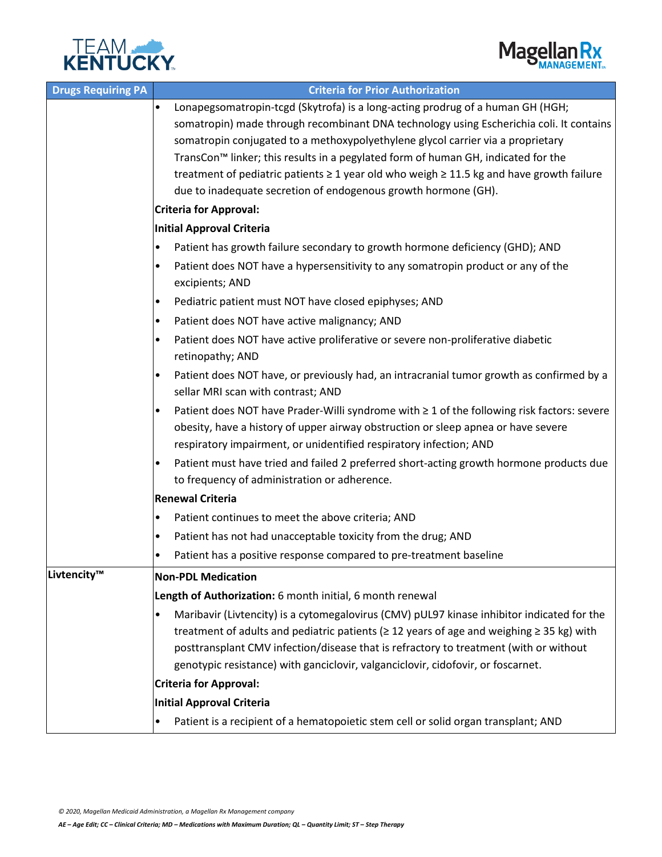



| <b>Drugs Requiring PA</b> | <b>Criteria for Prior Authorization</b>                                                                                                                                                                                                                                                                                                                                                                                                                                                                                                            |  |  |
|---------------------------|----------------------------------------------------------------------------------------------------------------------------------------------------------------------------------------------------------------------------------------------------------------------------------------------------------------------------------------------------------------------------------------------------------------------------------------------------------------------------------------------------------------------------------------------------|--|--|
|                           | Lonapegsomatropin-tcgd (Skytrofa) is a long-acting prodrug of a human GH (HGH;<br>$\bullet$<br>somatropin) made through recombinant DNA technology using Escherichia coli. It contains<br>somatropin conjugated to a methoxypolyethylene glycol carrier via a proprietary<br>TransCon <sup>™</sup> linker; this results in a pegylated form of human GH, indicated for the<br>treatment of pediatric patients $\geq 1$ year old who weigh $\geq 11.5$ kg and have growth failure<br>due to inadequate secretion of endogenous growth hormone (GH). |  |  |
|                           | <b>Criteria for Approval:</b>                                                                                                                                                                                                                                                                                                                                                                                                                                                                                                                      |  |  |
|                           | <b>Initial Approval Criteria</b>                                                                                                                                                                                                                                                                                                                                                                                                                                                                                                                   |  |  |
|                           | Patient has growth failure secondary to growth hormone deficiency (GHD); AND<br>$\bullet$                                                                                                                                                                                                                                                                                                                                                                                                                                                          |  |  |
|                           | Patient does NOT have a hypersensitivity to any somatropin product or any of the<br>$\bullet$<br>excipients; AND                                                                                                                                                                                                                                                                                                                                                                                                                                   |  |  |
|                           | Pediatric patient must NOT have closed epiphyses; AND<br>$\bullet$                                                                                                                                                                                                                                                                                                                                                                                                                                                                                 |  |  |
|                           | Patient does NOT have active malignancy; AND<br>$\bullet$                                                                                                                                                                                                                                                                                                                                                                                                                                                                                          |  |  |
|                           | Patient does NOT have active proliferative or severe non-proliferative diabetic<br>$\bullet$<br>retinopathy; AND                                                                                                                                                                                                                                                                                                                                                                                                                                   |  |  |
|                           | Patient does NOT have, or previously had, an intracranial tumor growth as confirmed by a<br>$\bullet$<br>sellar MRI scan with contrast; AND                                                                                                                                                                                                                                                                                                                                                                                                        |  |  |
|                           | Patient does NOT have Prader-Willi syndrome with ≥ 1 of the following risk factors: severe<br>$\bullet$<br>obesity, have a history of upper airway obstruction or sleep apnea or have severe<br>respiratory impairment, or unidentified respiratory infection; AND                                                                                                                                                                                                                                                                                 |  |  |
|                           | Patient must have tried and failed 2 preferred short-acting growth hormone products due<br>$\bullet$<br>to frequency of administration or adherence.                                                                                                                                                                                                                                                                                                                                                                                               |  |  |
|                           | <b>Renewal Criteria</b>                                                                                                                                                                                                                                                                                                                                                                                                                                                                                                                            |  |  |
|                           | Patient continues to meet the above criteria; AND<br>$\bullet$                                                                                                                                                                                                                                                                                                                                                                                                                                                                                     |  |  |
|                           | Patient has not had unacceptable toxicity from the drug; AND<br>$\bullet$                                                                                                                                                                                                                                                                                                                                                                                                                                                                          |  |  |
|                           | Patient has a positive response compared to pre-treatment baseline<br>٠                                                                                                                                                                                                                                                                                                                                                                                                                                                                            |  |  |
| Livtencity™               | <b>Non-PDL Medication</b>                                                                                                                                                                                                                                                                                                                                                                                                                                                                                                                          |  |  |
|                           | Length of Authorization: 6 month initial, 6 month renewal                                                                                                                                                                                                                                                                                                                                                                                                                                                                                          |  |  |
|                           | Maribavir (Livtencity) is a cytomegalovirus (CMV) pUL97 kinase inhibitor indicated for the<br>$\bullet$<br>treatment of adults and pediatric patients ( $\geq$ 12 years of age and weighing $\geq$ 35 kg) with<br>posttransplant CMV infection/disease that is refractory to treatment (with or without<br>genotypic resistance) with ganciclovir, valganciclovir, cidofovir, or foscarnet.                                                                                                                                                        |  |  |
|                           | <b>Criteria for Approval:</b>                                                                                                                                                                                                                                                                                                                                                                                                                                                                                                                      |  |  |
|                           | Initial Approval Criteria                                                                                                                                                                                                                                                                                                                                                                                                                                                                                                                          |  |  |
|                           | Patient is a recipient of a hematopoietic stem cell or solid organ transplant; AND<br>$\bullet$                                                                                                                                                                                                                                                                                                                                                                                                                                                    |  |  |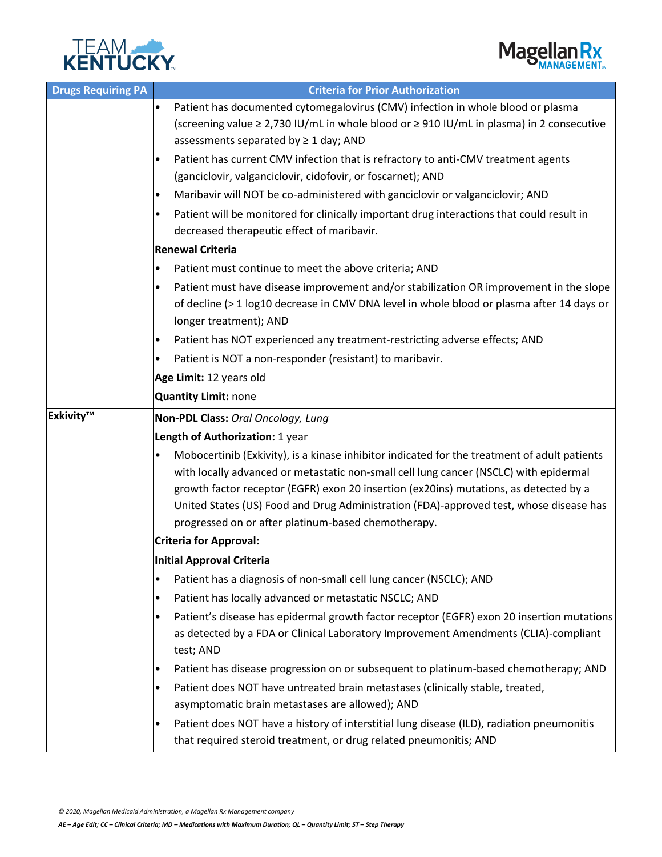



| <b>Drugs Requiring PA</b> | <b>Criteria for Prior Authorization</b>                                                                                                                                         |  |  |
|---------------------------|---------------------------------------------------------------------------------------------------------------------------------------------------------------------------------|--|--|
|                           | Patient has documented cytomegalovirus (CMV) infection in whole blood or plasma<br>$\bullet$                                                                                    |  |  |
|                           | (screening value ≥ 2,730 IU/mL in whole blood or ≥ 910 IU/mL in plasma) in 2 consecutive<br>assessments separated by $\geq 1$ day; AND                                          |  |  |
|                           | Patient has current CMV infection that is refractory to anti-CMV treatment agents<br>٠                                                                                          |  |  |
|                           | (ganciclovir, valganciclovir, cidofovir, or foscarnet); AND                                                                                                                     |  |  |
|                           | Maribavir will NOT be co-administered with ganciclovir or valganciclovir; AND<br>$\bullet$                                                                                      |  |  |
|                           | Patient will be monitored for clinically important drug interactions that could result in<br>$\bullet$<br>decreased therapeutic effect of maribavir.                            |  |  |
|                           | <b>Renewal Criteria</b>                                                                                                                                                         |  |  |
|                           | Patient must continue to meet the above criteria; AND<br>$\bullet$                                                                                                              |  |  |
|                           | Patient must have disease improvement and/or stabilization OR improvement in the slope<br>٠                                                                                     |  |  |
|                           | of decline (> 1 log10 decrease in CMV DNA level in whole blood or plasma after 14 days or                                                                                       |  |  |
|                           | longer treatment); AND                                                                                                                                                          |  |  |
|                           | Patient has NOT experienced any treatment-restricting adverse effects; AND<br>$\bullet$                                                                                         |  |  |
|                           | Patient is NOT a non-responder (resistant) to maribavir.<br>٠                                                                                                                   |  |  |
|                           | Age Limit: 12 years old                                                                                                                                                         |  |  |
|                           | Quantity Limit: none                                                                                                                                                            |  |  |
| Exkivity™                 | Non-PDL Class: Oral Oncology, Lung                                                                                                                                              |  |  |
|                           | Length of Authorization: 1 year                                                                                                                                                 |  |  |
|                           | Mobocertinib (Exkivity), is a kinase inhibitor indicated for the treatment of adult patients<br>$\bullet$                                                                       |  |  |
|                           | with locally advanced or metastatic non-small cell lung cancer (NSCLC) with epidermal                                                                                           |  |  |
|                           | growth factor receptor (EGFR) exon 20 insertion (ex20ins) mutations, as detected by a<br>United States (US) Food and Drug Administration (FDA)-approved test, whose disease has |  |  |
|                           | progressed on or after platinum-based chemotherapy.                                                                                                                             |  |  |
|                           | <b>Criteria for Approval:</b>                                                                                                                                                   |  |  |
|                           | Initial Approval Criteria                                                                                                                                                       |  |  |
|                           | Patient has a diagnosis of non-small cell lung cancer (NSCLC); AND<br>$\bullet$                                                                                                 |  |  |
|                           | Patient has locally advanced or metastatic NSCLC; AND<br>٠                                                                                                                      |  |  |
|                           | Patient's disease has epidermal growth factor receptor (EGFR) exon 20 insertion mutations<br>$\bullet$                                                                          |  |  |
|                           | as detected by a FDA or Clinical Laboratory Improvement Amendments (CLIA)-compliant                                                                                             |  |  |
|                           | test; AND                                                                                                                                                                       |  |  |
|                           | Patient has disease progression on or subsequent to platinum-based chemotherapy; AND<br>$\bullet$                                                                               |  |  |
|                           | Patient does NOT have untreated brain metastases (clinically stable, treated,<br>٠                                                                                              |  |  |
|                           | asymptomatic brain metastases are allowed); AND                                                                                                                                 |  |  |
|                           | Patient does NOT have a history of interstitial lung disease (ILD), radiation pneumonitis<br>٠                                                                                  |  |  |
|                           | that required steroid treatment, or drug related pneumonitis; AND                                                                                                               |  |  |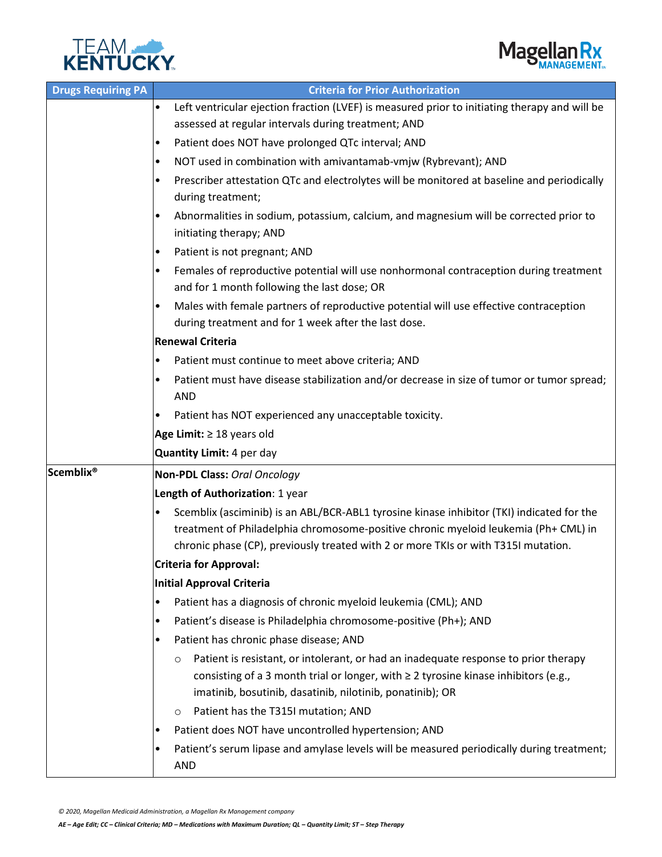



| <b>Drugs Requiring PA</b> | <b>Criteria for Prior Authorization</b>                                                                                                                                                                                                                 |  |  |
|---------------------------|---------------------------------------------------------------------------------------------------------------------------------------------------------------------------------------------------------------------------------------------------------|--|--|
|                           | Left ventricular ejection fraction (LVEF) is measured prior to initiating therapy and will be<br>$\bullet$                                                                                                                                              |  |  |
|                           | assessed at regular intervals during treatment; AND                                                                                                                                                                                                     |  |  |
|                           | Patient does NOT have prolonged QTc interval; AND<br>٠                                                                                                                                                                                                  |  |  |
|                           | NOT used in combination with amivantamab-vmjw (Rybrevant); AND<br>٠                                                                                                                                                                                     |  |  |
|                           | Prescriber attestation QTc and electrolytes will be monitored at baseline and periodically<br>$\bullet$                                                                                                                                                 |  |  |
|                           | during treatment;                                                                                                                                                                                                                                       |  |  |
|                           | Abnormalities in sodium, potassium, calcium, and magnesium will be corrected prior to<br>$\bullet$<br>initiating therapy; AND                                                                                                                           |  |  |
|                           | Patient is not pregnant; AND<br>٠                                                                                                                                                                                                                       |  |  |
|                           | Females of reproductive potential will use nonhormonal contraception during treatment<br>٠<br>and for 1 month following the last dose; OR                                                                                                               |  |  |
|                           | Males with female partners of reproductive potential will use effective contraception<br>$\bullet$<br>during treatment and for 1 week after the last dose.                                                                                              |  |  |
|                           | <b>Renewal Criteria</b>                                                                                                                                                                                                                                 |  |  |
|                           | Patient must continue to meet above criteria; AND<br>$\bullet$                                                                                                                                                                                          |  |  |
|                           | Patient must have disease stabilization and/or decrease in size of tumor or tumor spread;<br>$\bullet$<br><b>AND</b>                                                                                                                                    |  |  |
|                           | Patient has NOT experienced any unacceptable toxicity.<br>٠                                                                                                                                                                                             |  |  |
|                           | Age Limit: $\geq$ 18 years old                                                                                                                                                                                                                          |  |  |
|                           | Quantity Limit: 4 per day                                                                                                                                                                                                                               |  |  |
| <b>Scemblix®</b>          | Non-PDL Class: Oral Oncology                                                                                                                                                                                                                            |  |  |
|                           | Length of Authorization: 1 year                                                                                                                                                                                                                         |  |  |
|                           | Scemblix (asciminib) is an ABL/BCR-ABL1 tyrosine kinase inhibitor (TKI) indicated for the<br>٠                                                                                                                                                          |  |  |
|                           | treatment of Philadelphia chromosome-positive chronic myeloid leukemia (Ph+ CML) in                                                                                                                                                                     |  |  |
|                           | chronic phase (CP), previously treated with 2 or more TKIs or with T315I mutation.                                                                                                                                                                      |  |  |
|                           | <b>Criteria for Approval:</b>                                                                                                                                                                                                                           |  |  |
|                           | Initial Approval Criteria                                                                                                                                                                                                                               |  |  |
|                           | Patient has a diagnosis of chronic myeloid leukemia (CML); AND<br>$\bullet$                                                                                                                                                                             |  |  |
|                           | Patient's disease is Philadelphia chromosome-positive (Ph+); AND<br>٠                                                                                                                                                                                   |  |  |
|                           | Patient has chronic phase disease; AND<br>٠                                                                                                                                                                                                             |  |  |
|                           | Patient is resistant, or intolerant, or had an inadequate response to prior therapy<br>$\circ$<br>consisting of a 3 month trial or longer, with $\geq 2$ tyrosine kinase inhibitors (e.g.,<br>imatinib, bosutinib, dasatinib, nilotinib, ponatinib); OR |  |  |
|                           | Patient has the T315I mutation; AND<br>$\circ$                                                                                                                                                                                                          |  |  |
|                           | Patient does NOT have uncontrolled hypertension; AND<br>٠                                                                                                                                                                                               |  |  |
|                           | Patient's serum lipase and amylase levels will be measured periodically during treatment;<br>$\bullet$<br><b>AND</b>                                                                                                                                    |  |  |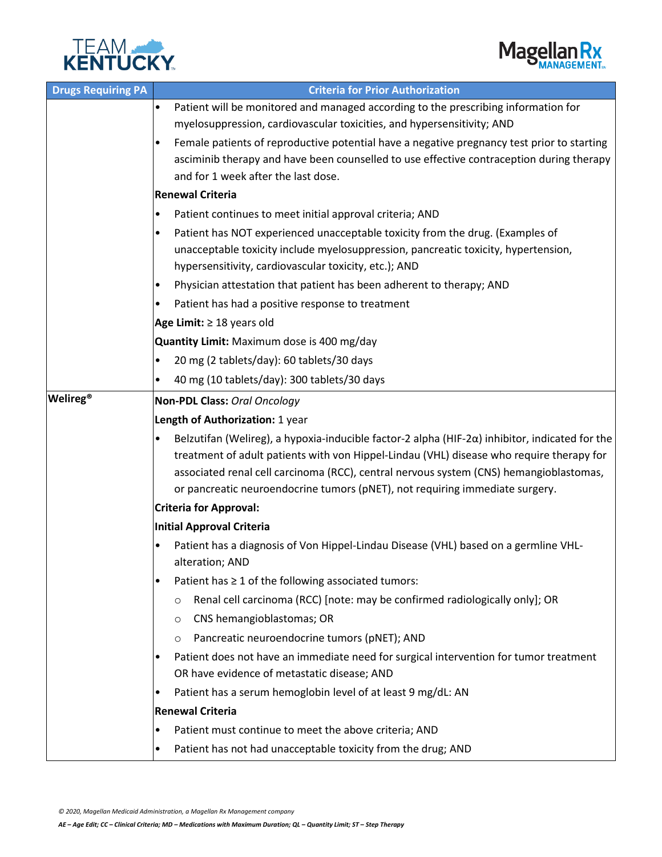



| <b>Drugs Requiring PA</b> | <b>Criteria for Prior Authorization</b>                                                                                                                                                                                                                                                                                                                                                    |  |  |
|---------------------------|--------------------------------------------------------------------------------------------------------------------------------------------------------------------------------------------------------------------------------------------------------------------------------------------------------------------------------------------------------------------------------------------|--|--|
|                           | Patient will be monitored and managed according to the prescribing information for<br>$\bullet$<br>myelosuppression, cardiovascular toxicities, and hypersensitivity; AND                                                                                                                                                                                                                  |  |  |
|                           | Female patients of reproductive potential have a negative pregnancy test prior to starting<br>asciminib therapy and have been counselled to use effective contraception during therapy<br>and for 1 week after the last dose.                                                                                                                                                              |  |  |
|                           | <b>Renewal Criteria</b>                                                                                                                                                                                                                                                                                                                                                                    |  |  |
|                           | Patient continues to meet initial approval criteria; AND<br>$\bullet$                                                                                                                                                                                                                                                                                                                      |  |  |
|                           | Patient has NOT experienced unacceptable toxicity from the drug. (Examples of<br>٠                                                                                                                                                                                                                                                                                                         |  |  |
|                           | unacceptable toxicity include myelosuppression, pancreatic toxicity, hypertension,<br>hypersensitivity, cardiovascular toxicity, etc.); AND                                                                                                                                                                                                                                                |  |  |
|                           | Physician attestation that patient has been adherent to therapy; AND<br>٠                                                                                                                                                                                                                                                                                                                  |  |  |
|                           | Patient has had a positive response to treatment<br>٠                                                                                                                                                                                                                                                                                                                                      |  |  |
|                           | Age Limit: $\geq$ 18 years old                                                                                                                                                                                                                                                                                                                                                             |  |  |
|                           | Quantity Limit: Maximum dose is 400 mg/day                                                                                                                                                                                                                                                                                                                                                 |  |  |
|                           | 20 mg (2 tablets/day): 60 tablets/30 days<br>$\bullet$                                                                                                                                                                                                                                                                                                                                     |  |  |
|                           | 40 mg (10 tablets/day): 300 tablets/30 days<br>$\bullet$                                                                                                                                                                                                                                                                                                                                   |  |  |
| <b>Welireg®</b>           | Non-PDL Class: Oral Oncology                                                                                                                                                                                                                                                                                                                                                               |  |  |
|                           | Length of Authorization: 1 year                                                                                                                                                                                                                                                                                                                                                            |  |  |
|                           | Belzutifan (Welireg), a hypoxia-inducible factor-2 alpha (HIF-2 $\alpha$ ) inhibitor, indicated for the<br>$\bullet$<br>treatment of adult patients with von Hippel-Lindau (VHL) disease who require therapy for<br>associated renal cell carcinoma (RCC), central nervous system (CNS) hemangioblastomas,<br>or pancreatic neuroendocrine tumors (pNET), not requiring immediate surgery. |  |  |
|                           | <b>Criteria for Approval:</b>                                                                                                                                                                                                                                                                                                                                                              |  |  |
|                           | <b>Initial Approval Criteria</b>                                                                                                                                                                                                                                                                                                                                                           |  |  |
|                           | Patient has a diagnosis of Von Hippel-Lindau Disease (VHL) based on a germline VHL-<br>alteration; AND                                                                                                                                                                                                                                                                                     |  |  |
|                           | Patient has $\geq 1$ of the following associated tumors:<br>$\bullet$                                                                                                                                                                                                                                                                                                                      |  |  |
|                           | Renal cell carcinoma (RCC) [note: may be confirmed radiologically only]; OR<br>O                                                                                                                                                                                                                                                                                                           |  |  |
|                           | CNS hemangioblastomas; OR<br>O                                                                                                                                                                                                                                                                                                                                                             |  |  |
|                           | Pancreatic neuroendocrine tumors (pNET); AND<br>O                                                                                                                                                                                                                                                                                                                                          |  |  |
|                           | Patient does not have an immediate need for surgical intervention for tumor treatment                                                                                                                                                                                                                                                                                                      |  |  |
|                           | OR have evidence of metastatic disease; AND                                                                                                                                                                                                                                                                                                                                                |  |  |
|                           | Patient has a serum hemoglobin level of at least 9 mg/dL: AN<br>٠                                                                                                                                                                                                                                                                                                                          |  |  |
|                           | <b>Renewal Criteria</b>                                                                                                                                                                                                                                                                                                                                                                    |  |  |
|                           | Patient must continue to meet the above criteria; AND<br>$\bullet$                                                                                                                                                                                                                                                                                                                         |  |  |
|                           | Patient has not had unacceptable toxicity from the drug; AND<br>$\bullet$                                                                                                                                                                                                                                                                                                                  |  |  |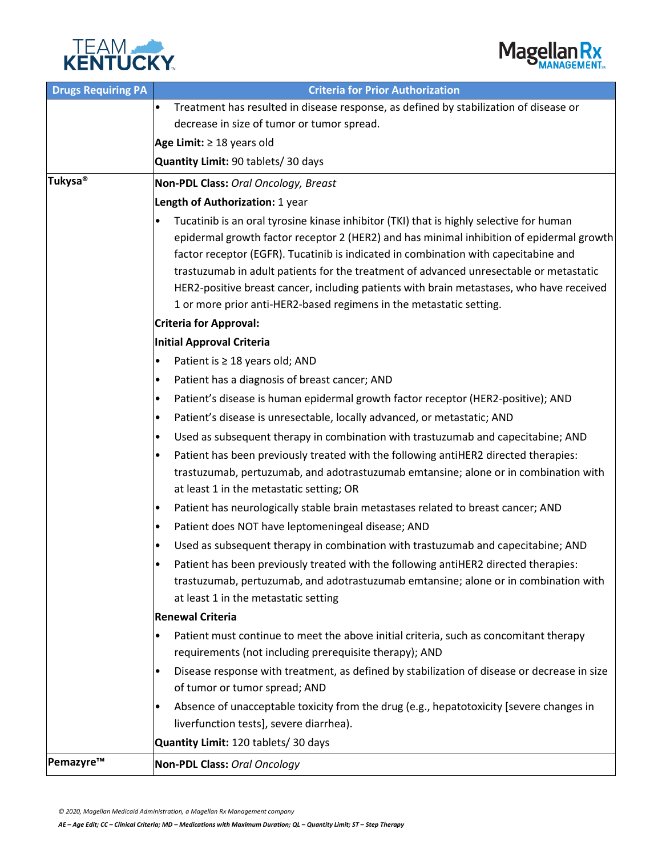



| <b>Drugs Requiring PA</b> | <b>Criteria for Prior Authorization</b>                                                                                                                                                                                                                                                                                                                                                                                                                                                                                                      |  |  |  |  |
|---------------------------|----------------------------------------------------------------------------------------------------------------------------------------------------------------------------------------------------------------------------------------------------------------------------------------------------------------------------------------------------------------------------------------------------------------------------------------------------------------------------------------------------------------------------------------------|--|--|--|--|
|                           | Treatment has resulted in disease response, as defined by stabilization of disease or<br>$\bullet$                                                                                                                                                                                                                                                                                                                                                                                                                                           |  |  |  |  |
|                           | decrease in size of tumor or tumor spread.                                                                                                                                                                                                                                                                                                                                                                                                                                                                                                   |  |  |  |  |
|                           | Age Limit: $\geq$ 18 years old                                                                                                                                                                                                                                                                                                                                                                                                                                                                                                               |  |  |  |  |
|                           | Quantity Limit: 90 tablets/ 30 days                                                                                                                                                                                                                                                                                                                                                                                                                                                                                                          |  |  |  |  |
| Tukysa <sup>®</sup>       | Non-PDL Class: Oral Oncology, Breast                                                                                                                                                                                                                                                                                                                                                                                                                                                                                                         |  |  |  |  |
|                           | Length of Authorization: 1 year                                                                                                                                                                                                                                                                                                                                                                                                                                                                                                              |  |  |  |  |
|                           | Tucatinib is an oral tyrosine kinase inhibitor (TKI) that is highly selective for human<br>٠<br>epidermal growth factor receptor 2 (HER2) and has minimal inhibition of epidermal growth<br>factor receptor (EGFR). Tucatinib is indicated in combination with capecitabine and<br>trastuzumab in adult patients for the treatment of advanced unresectable or metastatic<br>HER2-positive breast cancer, including patients with brain metastases, who have received<br>1 or more prior anti-HER2-based regimens in the metastatic setting. |  |  |  |  |
|                           | <b>Criteria for Approval:</b>                                                                                                                                                                                                                                                                                                                                                                                                                                                                                                                |  |  |  |  |
|                           | <b>Initial Approval Criteria</b>                                                                                                                                                                                                                                                                                                                                                                                                                                                                                                             |  |  |  |  |
|                           | Patient is ≥ 18 years old; AND<br>٠                                                                                                                                                                                                                                                                                                                                                                                                                                                                                                          |  |  |  |  |
|                           | Patient has a diagnosis of breast cancer; AND<br>٠                                                                                                                                                                                                                                                                                                                                                                                                                                                                                           |  |  |  |  |
|                           | Patient's disease is human epidermal growth factor receptor (HER2-positive); AND<br>$\bullet$                                                                                                                                                                                                                                                                                                                                                                                                                                                |  |  |  |  |
|                           | Patient's disease is unresectable, locally advanced, or metastatic; AND<br>٠                                                                                                                                                                                                                                                                                                                                                                                                                                                                 |  |  |  |  |
|                           | Used as subsequent therapy in combination with trastuzumab and capecitabine; AND<br>$\bullet$                                                                                                                                                                                                                                                                                                                                                                                                                                                |  |  |  |  |
|                           | Patient has been previously treated with the following antiHER2 directed therapies:<br>$\bullet$<br>trastuzumab, pertuzumab, and adotrastuzumab emtansine; alone or in combination with<br>at least 1 in the metastatic setting; OR                                                                                                                                                                                                                                                                                                          |  |  |  |  |
|                           | Patient has neurologically stable brain metastases related to breast cancer; AND<br>$\bullet$                                                                                                                                                                                                                                                                                                                                                                                                                                                |  |  |  |  |
|                           | Patient does NOT have leptomeningeal disease; AND<br>٠                                                                                                                                                                                                                                                                                                                                                                                                                                                                                       |  |  |  |  |
|                           | Used as subsequent therapy in combination with trastuzumab and capecitabine; AND<br>$\bullet$                                                                                                                                                                                                                                                                                                                                                                                                                                                |  |  |  |  |
|                           | Patient has been previously treated with the following antiHER2 directed therapies:<br>trastuzumab, pertuzumab, and adotrastuzumab emtansine; alone or in combination with<br>at least 1 in the metastatic setting                                                                                                                                                                                                                                                                                                                           |  |  |  |  |
|                           | <b>Renewal Criteria</b>                                                                                                                                                                                                                                                                                                                                                                                                                                                                                                                      |  |  |  |  |
|                           | Patient must continue to meet the above initial criteria, such as concomitant therapy<br>$\bullet$<br>requirements (not including prerequisite therapy); AND                                                                                                                                                                                                                                                                                                                                                                                 |  |  |  |  |
|                           | Disease response with treatment, as defined by stabilization of disease or decrease in size<br>$\bullet$<br>of tumor or tumor spread; AND                                                                                                                                                                                                                                                                                                                                                                                                    |  |  |  |  |
|                           | Absence of unacceptable toxicity from the drug (e.g., hepatotoxicity [severe changes in<br>٠                                                                                                                                                                                                                                                                                                                                                                                                                                                 |  |  |  |  |
|                           | liverfunction tests], severe diarrhea).                                                                                                                                                                                                                                                                                                                                                                                                                                                                                                      |  |  |  |  |
|                           | Quantity Limit: 120 tablets/ 30 days                                                                                                                                                                                                                                                                                                                                                                                                                                                                                                         |  |  |  |  |
| Pemazyre™                 | Non-PDL Class: Oral Oncology                                                                                                                                                                                                                                                                                                                                                                                                                                                                                                                 |  |  |  |  |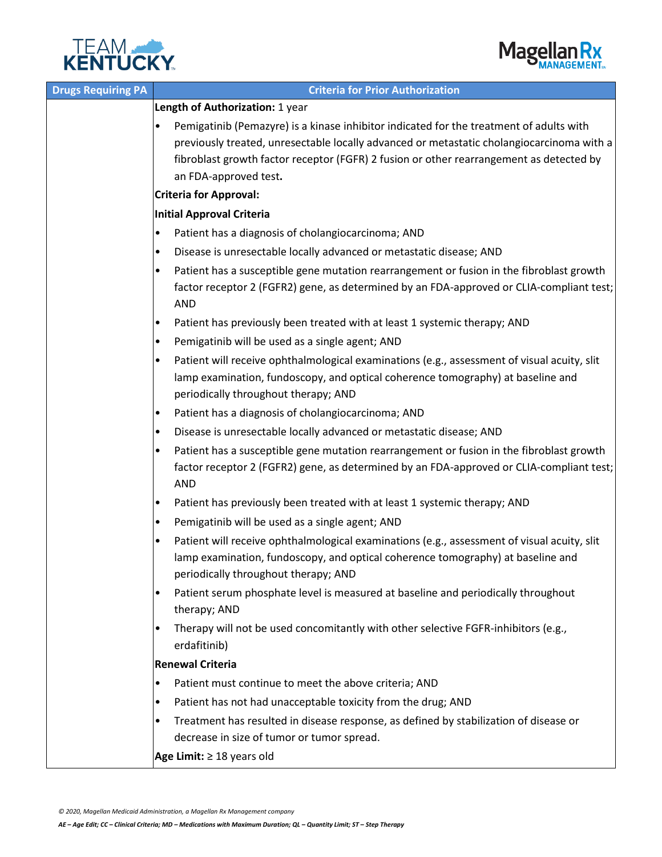



| <b>Drugs Requiring PA</b> | <b>Criteria for Prior Authorization</b>                                                                                                                                                                                                                                                                  |  |  |  |
|---------------------------|----------------------------------------------------------------------------------------------------------------------------------------------------------------------------------------------------------------------------------------------------------------------------------------------------------|--|--|--|
|                           | Length of Authorization: 1 year                                                                                                                                                                                                                                                                          |  |  |  |
|                           | Pemigatinib (Pemazyre) is a kinase inhibitor indicated for the treatment of adults with<br>previously treated, unresectable locally advanced or metastatic cholangiocarcinoma with a<br>fibroblast growth factor receptor (FGFR) 2 fusion or other rearrangement as detected by<br>an FDA-approved test. |  |  |  |
|                           | <b>Criteria for Approval:</b>                                                                                                                                                                                                                                                                            |  |  |  |
|                           | <b>Initial Approval Criteria</b>                                                                                                                                                                                                                                                                         |  |  |  |
|                           | Patient has a diagnosis of cholangiocarcinoma; AND<br>$\bullet$                                                                                                                                                                                                                                          |  |  |  |
|                           | Disease is unresectable locally advanced or metastatic disease; AND<br>٠                                                                                                                                                                                                                                 |  |  |  |
|                           | Patient has a susceptible gene mutation rearrangement or fusion in the fibroblast growth<br>factor receptor 2 (FGFR2) gene, as determined by an FDA-approved or CLIA-compliant test;<br><b>AND</b>                                                                                                       |  |  |  |
|                           | Patient has previously been treated with at least 1 systemic therapy; AND<br>٠                                                                                                                                                                                                                           |  |  |  |
|                           | Pemigatinib will be used as a single agent; AND<br>$\bullet$                                                                                                                                                                                                                                             |  |  |  |
|                           | Patient will receive ophthalmological examinations (e.g., assessment of visual acuity, slit<br>lamp examination, fundoscopy, and optical coherence tomography) at baseline and<br>periodically throughout therapy; AND                                                                                   |  |  |  |
|                           | Patient has a diagnosis of cholangiocarcinoma; AND<br>$\bullet$                                                                                                                                                                                                                                          |  |  |  |
|                           | Disease is unresectable locally advanced or metastatic disease; AND<br>$\bullet$                                                                                                                                                                                                                         |  |  |  |
|                           | Patient has a susceptible gene mutation rearrangement or fusion in the fibroblast growth<br>٠<br>factor receptor 2 (FGFR2) gene, as determined by an FDA-approved or CLIA-compliant test;<br><b>AND</b>                                                                                                  |  |  |  |
|                           | Patient has previously been treated with at least 1 systemic therapy; AND<br>$\bullet$                                                                                                                                                                                                                   |  |  |  |
|                           | Pemigatinib will be used as a single agent; AND<br>$\bullet$                                                                                                                                                                                                                                             |  |  |  |
|                           | Patient will receive ophthalmological examinations (e.g., assessment of visual acuity, slit<br>lamp examination, fundoscopy, and optical coherence tomography) at baseline and<br>periodically throughout therapy; AND                                                                                   |  |  |  |
|                           | Patient serum phosphate level is measured at baseline and periodically throughout<br>$\bullet$<br>therapy; AND                                                                                                                                                                                           |  |  |  |
|                           | Therapy will not be used concomitantly with other selective FGFR-inhibitors (e.g.,<br>$\bullet$<br>erdafitinib)                                                                                                                                                                                          |  |  |  |
|                           | <b>Renewal Criteria</b>                                                                                                                                                                                                                                                                                  |  |  |  |
|                           | Patient must continue to meet the above criteria; AND<br>$\bullet$                                                                                                                                                                                                                                       |  |  |  |
|                           | Patient has not had unacceptable toxicity from the drug; AND<br>٠                                                                                                                                                                                                                                        |  |  |  |
|                           | Treatment has resulted in disease response, as defined by stabilization of disease or<br>decrease in size of tumor or tumor spread.                                                                                                                                                                      |  |  |  |
|                           | Age Limit: $\geq 18$ years old                                                                                                                                                                                                                                                                           |  |  |  |

*© 2020, Magellan Medicaid Administration, a Magellan Rx Management company*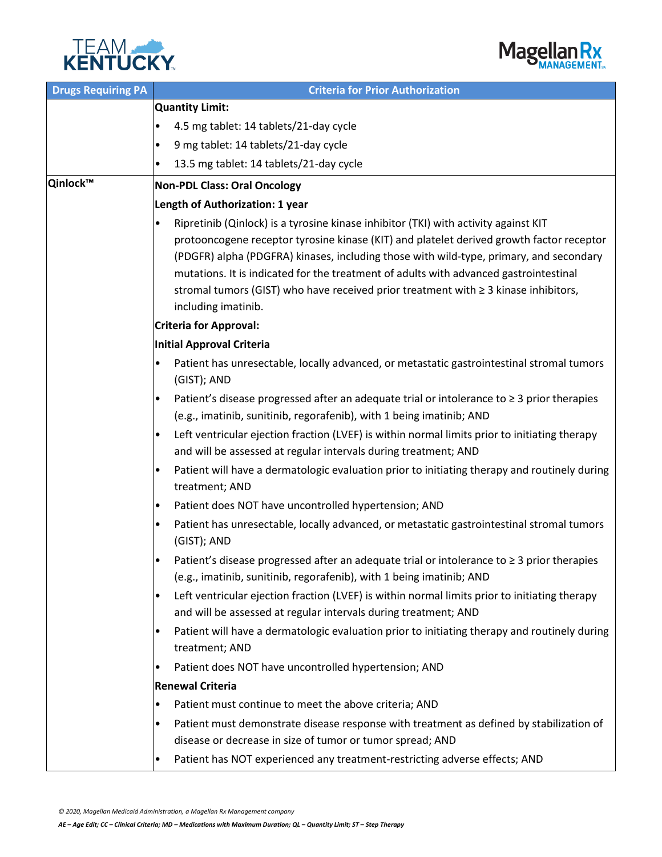



| <b>Drugs Requiring PA</b> | <b>Criteria for Prior Authorization</b>                                                                               |  |  |  |
|---------------------------|-----------------------------------------------------------------------------------------------------------------------|--|--|--|
|                           | Quantity Limit:                                                                                                       |  |  |  |
|                           | 4.5 mg tablet: 14 tablets/21-day cycle                                                                                |  |  |  |
|                           | 9 mg tablet: 14 tablets/21-day cycle<br>٠                                                                             |  |  |  |
|                           | 13.5 mg tablet: 14 tablets/21-day cycle<br>٠                                                                          |  |  |  |
| Qinlock™                  | <b>Non-PDL Class: Oral Oncology</b>                                                                                   |  |  |  |
|                           | Length of Authorization: 1 year                                                                                       |  |  |  |
|                           | Ripretinib (Qinlock) is a tyrosine kinase inhibitor (TKI) with activity against KIT                                   |  |  |  |
|                           | protooncogene receptor tyrosine kinase (KIT) and platelet derived growth factor receptor                              |  |  |  |
|                           | (PDGFR) alpha (PDGFRA) kinases, including those with wild-type, primary, and secondary                                |  |  |  |
|                           | mutations. It is indicated for the treatment of adults with advanced gastrointestinal                                 |  |  |  |
|                           | stromal tumors (GIST) who have received prior treatment with ≥ 3 kinase inhibitors,                                   |  |  |  |
|                           | including imatinib.                                                                                                   |  |  |  |
|                           | <b>Criteria for Approval:</b>                                                                                         |  |  |  |
|                           | Initial Approval Criteria                                                                                             |  |  |  |
|                           | Patient has unresectable, locally advanced, or metastatic gastrointestinal stromal tumors<br>$\bullet$<br>(GIST); AND |  |  |  |
|                           | Patient's disease progressed after an adequate trial or intolerance to $\geq$ 3 prior therapies<br>٠                  |  |  |  |
|                           | (e.g., imatinib, sunitinib, regorafenib), with 1 being imatinib; AND                                                  |  |  |  |
|                           | Left ventricular ejection fraction (LVEF) is within normal limits prior to initiating therapy                         |  |  |  |
|                           | and will be assessed at regular intervals during treatment; AND                                                       |  |  |  |
|                           | Patient will have a dermatologic evaluation prior to initiating therapy and routinely during<br>٠                     |  |  |  |
|                           | treatment; AND                                                                                                        |  |  |  |
|                           | Patient does NOT have uncontrolled hypertension; AND<br>٠                                                             |  |  |  |
|                           | Patient has unresectable, locally advanced, or metastatic gastrointestinal stromal tumors<br>$\bullet$                |  |  |  |
|                           | (GIST); AND                                                                                                           |  |  |  |
|                           | Patient's disease progressed after an adequate trial or intolerance to $\geq 3$ prior therapies                       |  |  |  |
|                           | (e.g., imatinib, sunitinib, regorafenib), with 1 being imatinib; AND                                                  |  |  |  |
|                           | Left ventricular ejection fraction (LVEF) is within normal limits prior to initiating therapy<br>$\bullet$            |  |  |  |
|                           | and will be assessed at regular intervals during treatment; AND                                                       |  |  |  |
|                           | Patient will have a dermatologic evaluation prior to initiating therapy and routinely during<br>٠                     |  |  |  |
|                           | treatment; AND                                                                                                        |  |  |  |
|                           | Patient does NOT have uncontrolled hypertension; AND<br>٠                                                             |  |  |  |
|                           | <b>Renewal Criteria</b>                                                                                               |  |  |  |
|                           | Patient must continue to meet the above criteria; AND<br>$\bullet$                                                    |  |  |  |
|                           | Patient must demonstrate disease response with treatment as defined by stabilization of<br>٠                          |  |  |  |
|                           | disease or decrease in size of tumor or tumor spread; AND                                                             |  |  |  |
|                           | Patient has NOT experienced any treatment-restricting adverse effects; AND<br>٠                                       |  |  |  |

*© 2020, Magellan Medicaid Administration, a Magellan Rx Management company*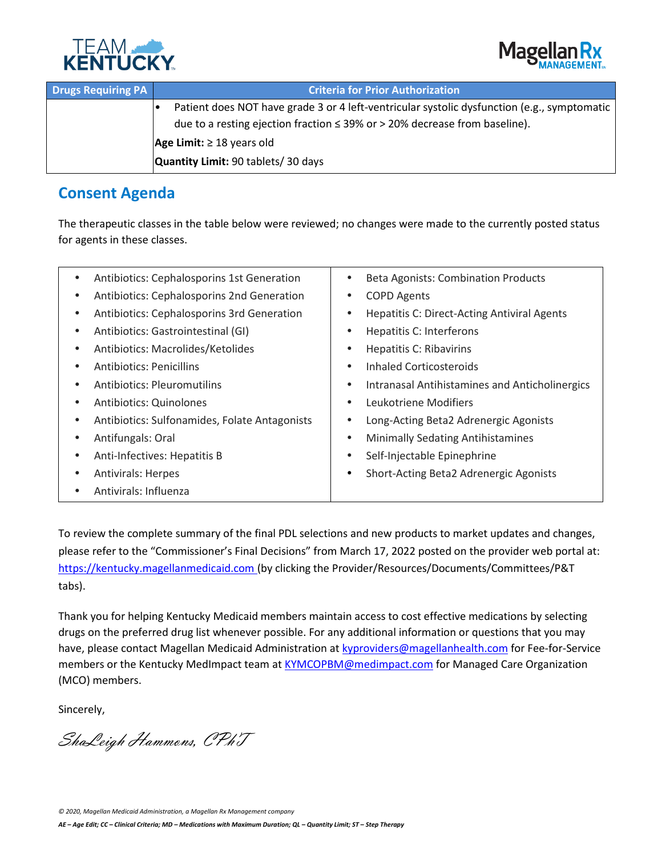



| <b>Drugs Requiring PA</b> | <b>Criteria for Prior Authorization</b>                                                     |  |  |
|---------------------------|---------------------------------------------------------------------------------------------|--|--|
|                           | Patient does NOT have grade 3 or 4 left-ventricular systolic dysfunction (e.g., symptomatic |  |  |
|                           | due to a resting ejection fraction $\leq$ 39% or $>$ 20% decrease from baseline).           |  |  |
|                           | Age Limit: $\geq 18$ years old                                                              |  |  |
|                           | Quantity Limit: 90 tablets/30 days                                                          |  |  |

## **Consent Agenda**

The therapeutic classes in the table below were reviewed; no changes were made to the currently posted status for agents in these classes.

| Antibiotics: Cephalosporins 1st Generation                 | <b>Beta Agonists: Combination Products</b>                      |
|------------------------------------------------------------|-----------------------------------------------------------------|
| Antibiotics: Cephalosporins 2nd Generation                 | <b>COPD Agents</b><br>٠                                         |
| Antibiotics: Cephalosporins 3rd Generation                 | <b>Hepatitis C: Direct-Acting Antiviral Agents</b><br>$\bullet$ |
| Antibiotics: Gastrointestinal (GI)<br>$\bullet$            | Hepatitis C: Interferons<br>٠                                   |
| Antibiotics: Macrolides/Ketolides<br>٠                     | <b>Hepatitis C: Ribavirins</b><br>$\bullet$                     |
| <b>Antibiotics: Penicillins</b>                            | Inhaled Corticosteroids<br>٠                                    |
| <b>Antibiotics: Pleuromutilins</b>                         | Intranasal Antihistamines and Anticholinergics<br>٠             |
| Antibiotics: Quinolones<br>٠                               | Leukotriene Modifiers<br>$\bullet$                              |
| Antibiotics: Sulfonamides, Folate Antagonists<br>$\bullet$ | Long-Acting Beta2 Adrenergic Agonists<br>٠                      |
| Antifungals: Oral                                          | <b>Minimally Sedating Antihistamines</b><br>$\bullet$           |
| Anti-Infectives: Hepatitis B                               | Self-Injectable Epinephrine<br>٠                                |
| <b>Antivirals: Herpes</b>                                  | Short-Acting Beta2 Adrenergic Agonists<br>٠                     |
| Antivirals: Influenza                                      |                                                                 |
|                                                            |                                                                 |

To review the complete summary of the final PDL selections and new products to market updates and changes, please refer to the "Commissioner's Final Decisions" from March 17, 2022 posted on the provider web portal at: [https://kentucky.magellanmedicaid.com](https://kentucky.magellanmedicaid.com/) (by clicking the Provider/Resources/Documents/Committees/P&T tabs).

Thank you for helping Kentucky Medicaid members maintain access to cost effective medications by selecting drugs on the preferred drug list whenever possible. For any additional information or questions that you may have, please contact Magellan Medicaid Administration a[t kyproviders@magellanhealth.com](mailto:kyproviders@magellanhealth.com) for Fee-for-Service members or the Kentucky MedImpact team at [KYMCOPBM@medimpact.com](mailto:KYMCOPBM@medimpact.com) for Managed Care Organization (MCO) members.

Sincerely,

ShaLeigh Hammons, CPhT